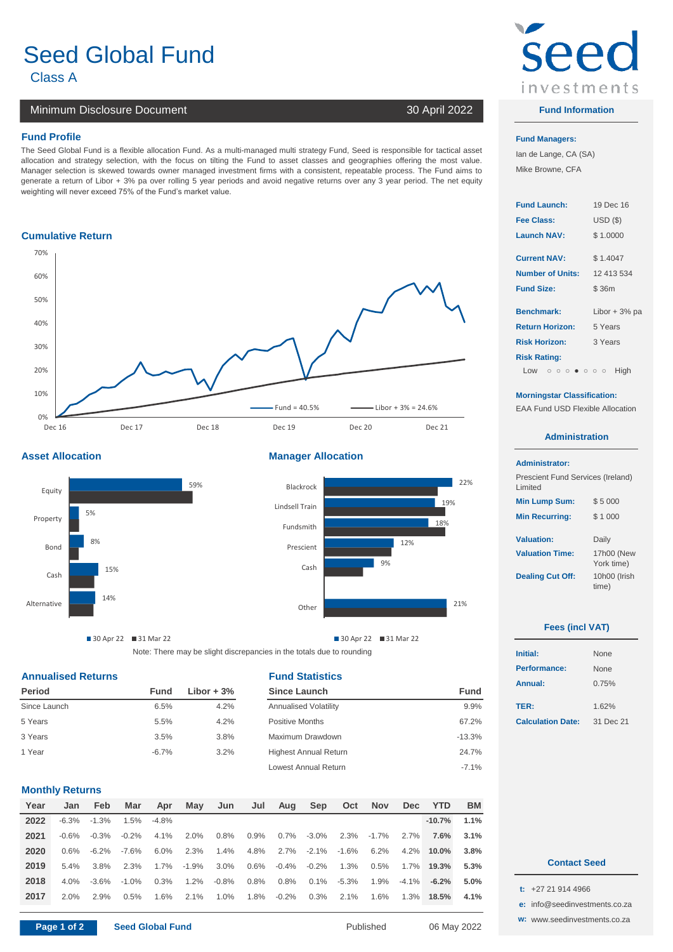# Seed Global Fund Class A **1**

## Minimum Disclosure Document 30 April 2022

#### **Fund Profile Fund Managers:**

The Seed Global Fund is a flexible allocation Fund. As a multi-managed multi strategy Fund, Seed is responsible for tactical asset allocation and strategy selection, with the focus on tilting the Fund to asset classes and geographies offering the most value. Manager selection is skewed towards owner managed investment firms with a consistent, repeatable process. The Fund aims to generate a return of Libor + 3% pa over rolling 5 year periods and avoid negative returns over any 3 year period. The net equity weighting will never exceed 75% of the Fund's market value.

#### **Cumulative Return**



#### **Asset Allocation Manager Allocation**





30 Apr 22 31 Mar 22

Lowest Annual Return -7.1%

Note: There may be slight discrepancies in the totals due to rounding

#### **Annualised Returns Fund Statistics**

| <b>Period</b> | Fund    | Libor $+3\%$ | Since Launch                 | <b>Fund</b> | Annuar:                  | U. (370   |
|---------------|---------|--------------|------------------------------|-------------|--------------------------|-----------|
| Since Launch  | 6.5%    | 4.2%         | <b>Annualised Volatility</b> | 9.9%        | TER:                     | 1.62%     |
| 5 Years       | 5.5%    | 4.2%         | Positive Months              | 67.2%       | <b>Calculation Date:</b> | 31 Dec 21 |
| 3 Years       | 3.5%    | 3.8%         | Maximum Drawdown             | $-13.3%$    |                          |           |
| 1 Year        | $-6.7%$ | 3.2%         | <b>Highest Annual Return</b> | 24.7%       |                          |           |

### **Monthly Returns**

| 2022<br>$-10.7%$<br>1.1%<br>$-6.3%$<br>$-1.3\%$<br>1.5%<br>$-4.8%$<br>2021<br>7.6%<br>$3.1\%$<br>0.8%<br>$0.9\%$<br>$0.7\%$<br>2.3%<br>$2.0\%$<br>$-3.0\%$<br>$-0.2\%$<br>4.1%<br>$2.7\%$<br>$-0.6\%$<br>$-1.7\%$<br>$-0.3\%$<br>2020<br>2.7%<br>2.3%<br>$4.2\%$<br>3.8%<br>6.0%<br>1.4%<br>4.8%<br>$-2.1\%$<br>$-1.6%$<br>6.2%<br>$10.0\%$<br>$-7.6%$<br>$-6.2\%$<br>0.6%<br>2019<br>0.6%<br>$3.0\%$<br>$-0.4\%$<br>1.7%<br>$-1.9%$<br>1.3%<br>0.5%<br>1.7%<br>5.3%<br>3.8%<br>2.3%<br>$-0.2\%$<br>$5.4\%$<br>19.3% |
|----------------------------------------------------------------------------------------------------------------------------------------------------------------------------------------------------------------------------------------------------------------------------------------------------------------------------------------------------------------------------------------------------------------------------------------------------------------------------------------------------------------------|
|                                                                                                                                                                                                                                                                                                                                                                                                                                                                                                                      |
|                                                                                                                                                                                                                                                                                                                                                                                                                                                                                                                      |
|                                                                                                                                                                                                                                                                                                                                                                                                                                                                                                                      |
|                                                                                                                                                                                                                                                                                                                                                                                                                                                                                                                      |
| 2018<br>0.3%<br>$0.8\%$<br>$0.8\%$<br>-5.3%<br>1.9%<br>$1.2\%$<br>$-0.8\%$<br>$0.1\%$<br>$-4.1\%$<br>$-3.6\%$<br>5.0%<br>$4.0\%$<br>$-1.0%$<br>$-6.2%$                                                                                                                                                                                                                                                                                                                                                               |
| 2017<br>1.8%<br>$-0.2\%$<br>$0.3\%$<br>1.6%<br>1.6%<br>1.0%<br>$2.1\%$<br>1.3%<br>2.0%<br>2.9%<br>0.5%<br>$2.1\%$<br>18.5%<br>4.1%                                                                                                                                                                                                                                                                                                                                                                                   |



#### **Fund Information**

Ian de Lange, CA (SA) Mike Browne, CFA

| <b>Fund Launch:</b>    | 19 Dec 16       |  |  |
|------------------------|-----------------|--|--|
| <b>Fee Class:</b>      | $USD($ \$)      |  |  |
| <b>Launch NAV:</b>     | \$1.0000        |  |  |
| <b>Current NAV:</b>    | \$1.4047        |  |  |
| Number of Units:       | 12 413 534      |  |  |
| <b>Fund Size:</b>      | \$36m           |  |  |
| <b>Benchmark:</b>      | Libor $+3\%$ pa |  |  |
| <b>Return Horizon:</b> | 5 Years         |  |  |
| <b>Risk Horizon:</b>   | 3 Years         |  |  |
| <b>Risk Rating:</b>    |                 |  |  |
| Low              High  |                 |  |  |

#### **Morningstar Classification:**

EAA Fund USD Flexible Allocation

#### **Administration**

#### **Administrator:**

 $\overline{\phantom{a}}$ 

| Prescient Fund Services (Ireland)<br>Limited |                          |
|----------------------------------------------|--------------------------|
| <b>Min Lump Sum:</b>                         | \$5000                   |
| <b>Min Recurring:</b>                        | \$1000                   |
| <b>Valuation:</b>                            | Daily                    |
| <b>Valuation Time:</b>                       | 17h00 (New<br>York time) |
| <b>Dealing Cut Off:</b>                      | 10h00 (Irish<br>time)    |

#### **Fees (incl VAT)**

| Initial:                 | <b>None</b> |  |
|--------------------------|-------------|--|
| Performance:             | <b>None</b> |  |
| Annual:                  | 0.75%       |  |
|                          |             |  |
| TER:                     | 1.62%       |  |
| <b>Calculation Date:</b> | 31 Dec 21   |  |
|                          |             |  |

- **t:** +27 21 914 4966
- **e:** [info@](mailto:info@seedinvestments.co.za)seedinvestments.co.za
- **w:** [www](http://www.seedinvestments.co.za/).seedinvestments.co.za